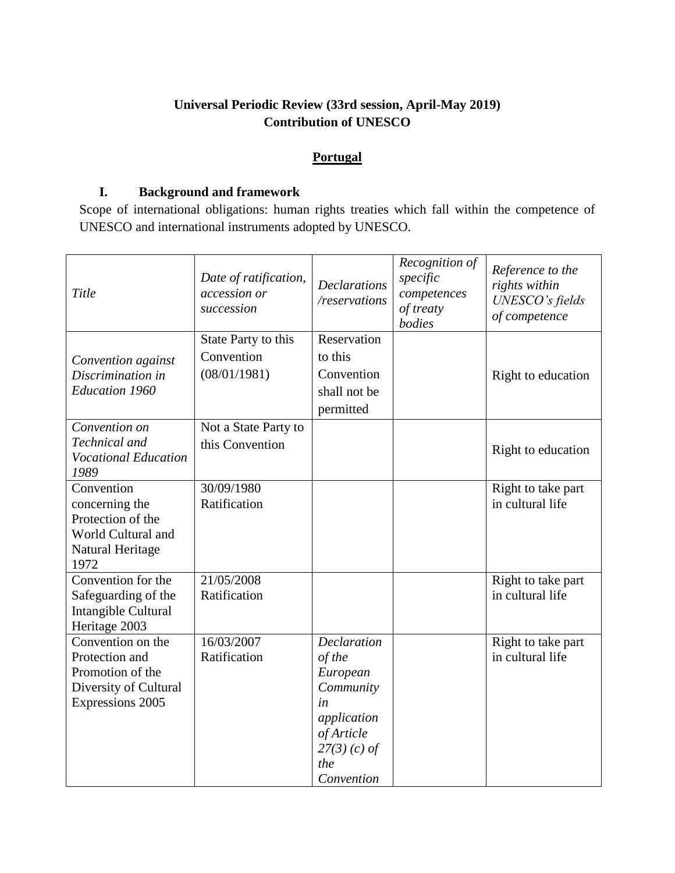# **Universal Periodic Review (33rd session, April-May 2019) Contribution of UNESCO**

## **Portugal**

#### **I. Background and framework**

Scope of international obligations: human rights treaties which fall within the competence of UNESCO and international instruments adopted by UNESCO.

| Title                                                                                                       | Date of ratification,<br>accession or<br>succession | <b>Declarations</b><br>/reservations                                                                                            | Recognition of<br>specific<br>competences<br>of treaty<br>bodies | Reference to the<br>rights within<br>UNESCO's fields<br>of competence |
|-------------------------------------------------------------------------------------------------------------|-----------------------------------------------------|---------------------------------------------------------------------------------------------------------------------------------|------------------------------------------------------------------|-----------------------------------------------------------------------|
| Convention against<br>Discrimination in<br><b>Education 1960</b>                                            | State Party to this<br>Convention<br>(08/01/1981)   | Reservation<br>to this<br>Convention<br>shall not be<br>permitted                                                               |                                                                  | Right to education                                                    |
| Convention on<br>Technical and<br><b>Vocational Education</b><br>1989                                       | Not a State Party to<br>this Convention             |                                                                                                                                 |                                                                  | Right to education                                                    |
| Convention<br>concerning the<br>Protection of the<br>World Cultural and<br>Natural Heritage<br>1972         | 30/09/1980<br>Ratification                          |                                                                                                                                 |                                                                  | Right to take part<br>in cultural life                                |
| Convention for the<br>Safeguarding of the<br>Intangible Cultural<br>Heritage 2003                           | 21/05/2008<br>Ratification                          |                                                                                                                                 |                                                                  | Right to take part<br>in cultural life                                |
| Convention on the<br>Protection and<br>Promotion of the<br>Diversity of Cultural<br><b>Expressions 2005</b> | 16/03/2007<br>Ratification                          | <b>Declaration</b><br>of the<br>European<br>Community<br>in<br>application<br>of Article<br>$27(3)$ (c) of<br>the<br>Convention |                                                                  | Right to take part<br>in cultural life                                |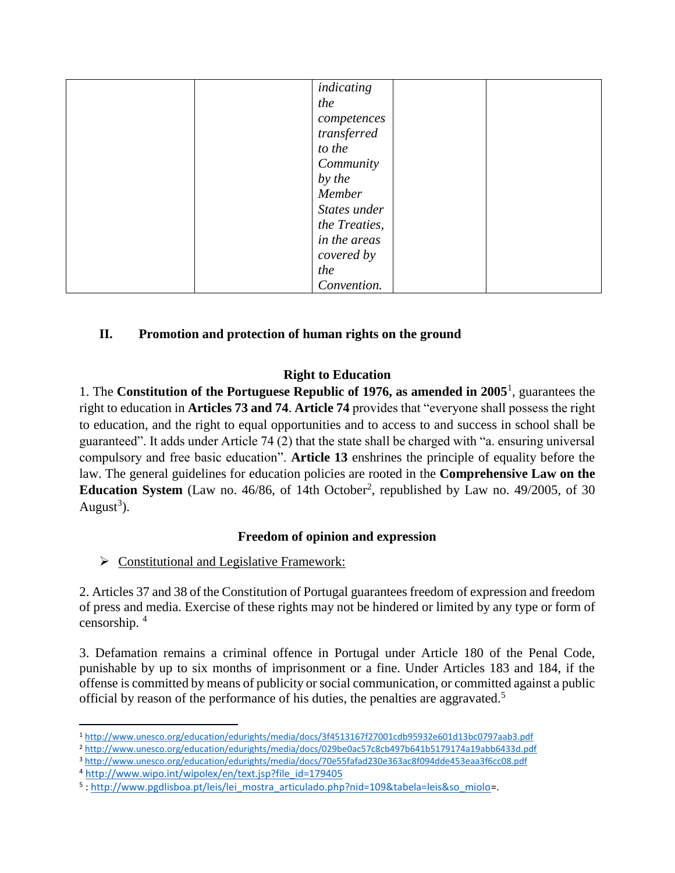| indicating    |
|---------------|
| the           |
| competences   |
| transferred   |
| to the        |
| Community     |
| by the        |
| Member        |
| States under  |
| the Treaties, |
| in the areas  |
| covered by    |
| the           |
| Convention.   |

# **II. Promotion and protection of human rights on the ground**

## **Right to Education**

1. The **Constitution of the Portuguese Republic of 1976, as amended in 2005**<sup>1</sup> , guarantees the right to education in **Articles 73 and 74**. **Article 74** provides that "everyone shall possess the right to education, and the right to equal opportunities and to access to and success in school shall be guaranteed". It adds under Article 74 (2) that the state shall be charged with "a. ensuring universal compulsory and free basic education". **Article 13** enshrines the principle of equality before the law. The general guidelines for education policies are rooted in the **Comprehensive Law on the Education System** (Law no.  $46/86$ , of 14th October<sup>2</sup>, republished by Law no.  $49/2005$ , of 30 August<sup>3</sup>).

## **Freedom of opinion and expression**

 $\triangleright$  Constitutional and Legislative Framework:

2. Articles 37 and 38 of the Constitution of Portugal guarantees freedom of expression and freedom of press and media. Exercise of these rights may not be hindered or limited by any type or form of censorship. <sup>4</sup>

3. Defamation remains a criminal offence in Portugal under Article 180 of the Penal Code, punishable by up to six months of imprisonment or a fine. Under Articles 183 and 184, if the offense is committed by means of publicity or social communication, or committed against a public official by reason of the performance of his duties, the penalties are aggravated.<sup>5</sup>

 $\overline{\phantom{a}}$ <sup>1</sup> <http://www.unesco.org/education/edurights/media/docs/3f4513167f27001cdb95932e601d13bc0797aab3.pdf>

<sup>2</sup> <http://www.unesco.org/education/edurights/media/docs/029be0ac57c8cb497b641b5179174a19abb6433d.pdf>

<sup>3</sup> <http://www.unesco.org/education/edurights/media/docs/70e55fafad230e363ac8f094dde453eaa3f6cc08.pdf>

<sup>4</sup> [http://www.wipo.int/wipolex/en/text.jsp?file\\_id=179405](http://www.wipo.int/wipolex/en/text.jsp?file_id=179405)

<sup>5</sup>[: http://www.pgdlisboa.pt/leis/lei\\_mostra\\_articulado.php?nid=109&tabela=leis&so\\_miolo=](http://www.pgdlisboa.pt/leis/lei_mostra_articulado.php?nid=109&tabela=leis&so_miolo).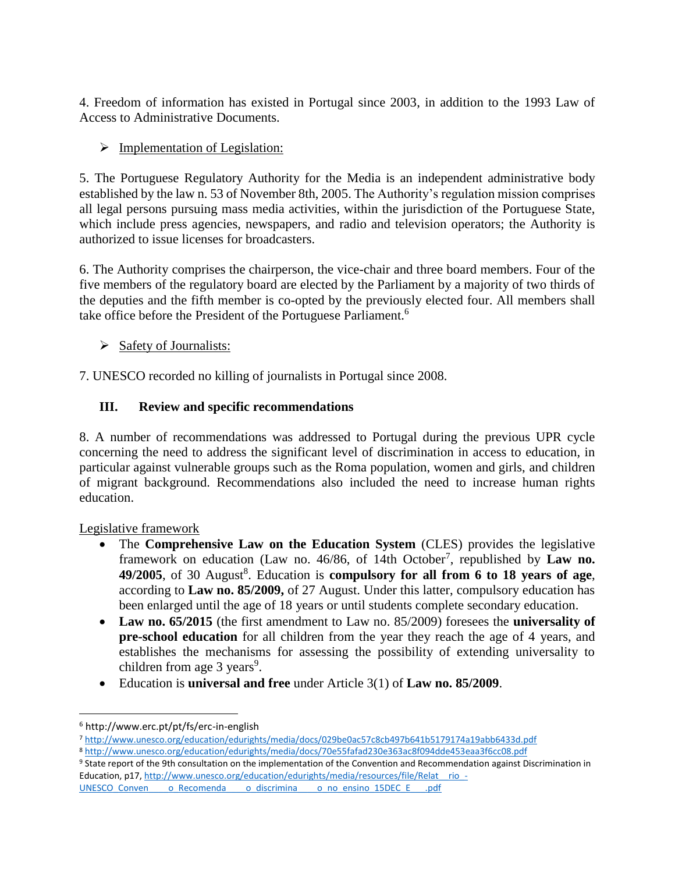4. Freedom of information has existed in Portugal since 2003, in addition to the 1993 Law of Access to Administrative Documents.

# $\triangleright$  Implementation of Legislation:

5. The Portuguese Regulatory Authority for the Media is an independent administrative body established by the law n. 53 of November 8th, 2005. The Authority's regulation mission comprises all legal persons pursuing mass media activities, within the jurisdiction of the Portuguese State, which include press agencies, newspapers, and radio and television operators; the Authority is authorized to issue licenses for broadcasters.

6. The Authority comprises the chairperson, the vice-chair and three board members. Four of the five members of the regulatory board are elected by the Parliament by a majority of two thirds of the deputies and the fifth member is co-opted by the previously elected four. All members shall take office before the President of the Portuguese Parliament.<sup>6</sup>

- $\triangleright$  Safety of Journalists:
- 7. UNESCO recorded no killing of journalists in Portugal since 2008.

# **III. Review and specific recommendations**

8. A number of recommendations was addressed to Portugal during the previous UPR cycle concerning the need to address the significant level of discrimination in access to education, in particular against vulnerable groups such as the Roma population, women and girls, and children of migrant background. Recommendations also included the need to increase human rights education.

Legislative framework

- The **Comprehensive Law on the Education System** (CLES) provides the legislative framework on education (Law no. 46/86, of 14th October<sup>7</sup>, republished by Law no. 49/2005, of 30 August<sup>8</sup>. Education is **compulsory for all from 6 to 18 years of age**, according to **Law no. 85/2009,** of 27 August. Under this latter, compulsory education has been enlarged until the age of 18 years or until students complete secondary education.
- **Law no. 65/2015** (the first amendment to Law no. 85/2009) foresees the **universality of pre-school education** for all children from the year they reach the age of 4 years, and establishes the mechanisms for assessing the possibility of extending universality to children from age  $3 \text{ years}^9$ .
- Education is **universal and free** under Article 3(1) of **Law no. 85/2009**.

 $\overline{\phantom{a}}$ 

9 State report of the 9th consultation on the implementation of the Convention and Recommendation against Discrimination in Education, p17, http://www.unesco.org/education/edurights/media/resources/file/Relat\_rio\_-

UNESCO\_Conven\_\_\_\_\_o\_Recomenda\_\_\_\_o\_discrimina\_\_\_\_o\_no\_ensino\_15DEC\_E\_\_\_.pdf

<sup>6</sup> http://www.erc.pt/pt/fs/erc-in-english

<sup>7</sup> <http://www.unesco.org/education/edurights/media/docs/029be0ac57c8cb497b641b5179174a19abb6433d.pdf>

<sup>8</sup> <http://www.unesco.org/education/edurights/media/docs/70e55fafad230e363ac8f094dde453eaa3f6cc08.pdf>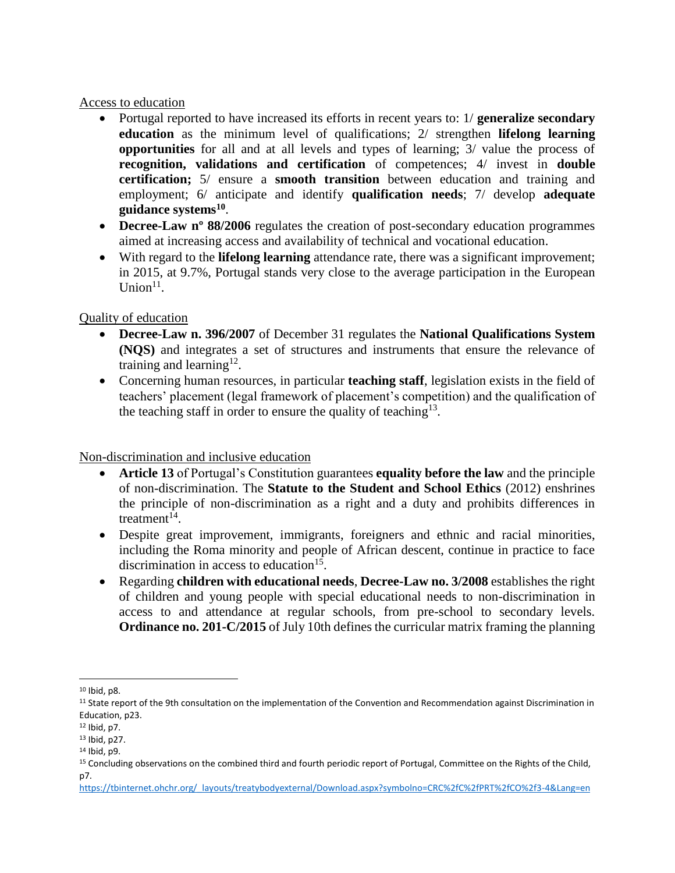#### Access to education

- Portugal reported to have increased its efforts in recent years to: 1/ **generalize secondary education** as the minimum level of qualifications; 2/ strengthen **lifelong learning opportunities** for all and at all levels and types of learning; 3/ value the process of **recognition, validations and certification** of competences; 4/ invest in **double certification;** 5/ ensure a **smooth transition** between education and training and employment; 6/ anticipate and identify **qualification needs**; 7/ develop **adequate guidance systems<sup>10</sup>** .
- **Decree-Law n<sup>o</sup> 88/2006** regulates the creation of post-secondary education programmes aimed at increasing access and availability of technical and vocational education.
- With regard to the **lifelong learning** attendance rate, there was a significant improvement; in 2015, at 9.7%, Portugal stands very close to the average participation in the European  $Union<sup>11</sup>$ .

## Quality of education

- **Decree-Law n. 396/2007** of December 31 regulates the **National Qualifications System (NQS)** and integrates a set of structures and instruments that ensure the relevance of training and learning<sup>12</sup>.
- Concerning human resources, in particular **teaching staff**, legislation exists in the field of teachers' placement (legal framework of placement's competition) and the qualification of the teaching staff in order to ensure the quality of teaching<sup>13</sup>.

Non-discrimination and inclusive education

- **Article 13** of Portugal's Constitution guarantees **equality before the law** and the principle of non-discrimination. The **Statute to the Student and School Ethics** (2012) enshrines the principle of non-discrimination as a right and a duty and prohibits differences in treatment $14$ .
- Despite great improvement, immigrants, foreigners and ethnic and racial minorities, including the Roma minority and people of African descent, continue in practice to face discrimination in access to education<sup>15</sup>.
- Regarding **children with educational needs**, **Decree-Law no. 3/2008** establishes the right of children and young people with special educational needs to non-discrimination in access to and attendance at regular schools, from pre-school to secondary levels. **Ordinance no. 201-C/2015** of July 10th defines the curricular matrix framing the planning

 $\overline{\phantom{a}}$  $10$  Ibid, p8.

<sup>&</sup>lt;sup>11</sup> State report of the 9th consultation on the implementation of the Convention and Recommendation against Discrimination in Education, p23.

<sup>12</sup> Ibid, p7.

<sup>13</sup> Ibid, p27.

<sup>14</sup> Ibid, p9.

<sup>15</sup> Concluding observations on the combined third and fourth periodic report of Portugal, Committee on the Rights of the Child, p7.

[https://tbinternet.ohchr.org/\\_layouts/treatybodyexternal/Download.aspx?symbolno=CRC%2fC%2fPRT%2fCO%2f3-4&Lang=en](https://tbinternet.ohchr.org/_layouts/treatybodyexternal/Download.aspx?symbolno=CRC%2fC%2fPRT%2fCO%2f3-4&Lang=en)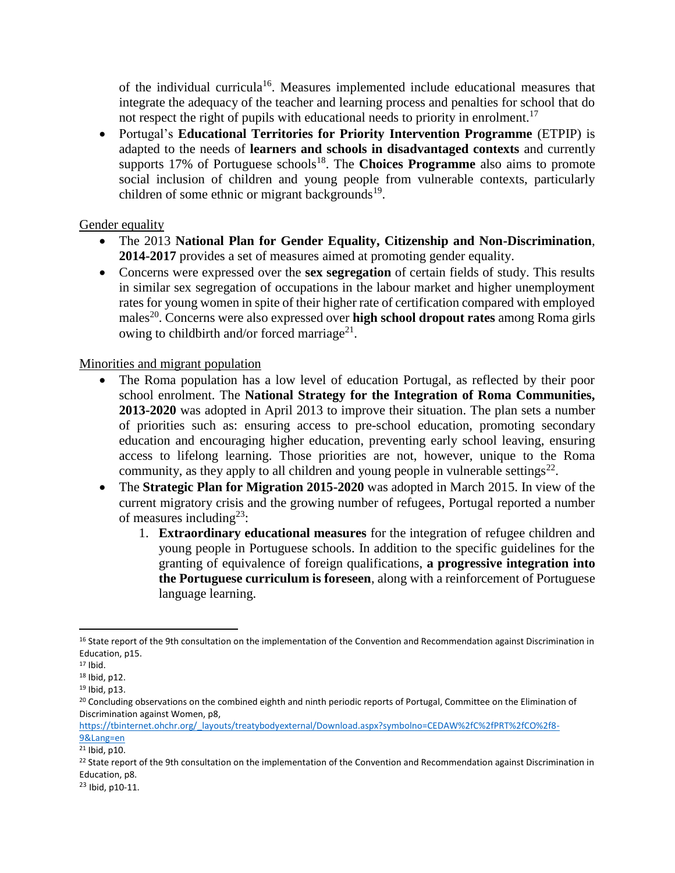of the individual curricula<sup>16</sup>. Measures implemented include educational measures that integrate the adequacy of the teacher and learning process and penalties for school that do not respect the right of pupils with educational needs to priority in enrolment.<sup>17</sup>

 Portugal's **Educational Territories for Priority Intervention Programme** (ETPIP) is adapted to the needs of **learners and schools in disadvantaged contexts** and currently supports 17% of Portuguese schools<sup>18</sup>. The **Choices Programme** also aims to promote social inclusion of children and young people from vulnerable contexts, particularly children of some ethnic or migrant backgrounds<sup>19</sup>.

## Gender equality

- The 2013 **National Plan for Gender Equality, Citizenship and Non-Discrimination**, **2014-2017** provides a set of measures aimed at promoting gender equality.
- Concerns were expressed over the **sex segregation** of certain fields of study. This results in similar sex segregation of occupations in the labour market and higher unemployment rates for young women in spite of their higher rate of certification compared with employed males<sup>20</sup>. Concerns were also expressed over **high school dropout rates** among Roma girls owing to childbirth and/or forced marriage<sup>21</sup>.

#### Minorities and migrant population

- The Roma population has a low level of education Portugal, as reflected by their poor school enrolment. The **National Strategy for the Integration of Roma Communities, 2013-2020** was adopted in April 2013 to improve their situation. The plan sets a number of priorities such as: ensuring access to pre-school education, promoting secondary education and encouraging higher education, preventing early school leaving, ensuring access to lifelong learning. Those priorities are not, however, unique to the Roma community, as they apply to all children and young people in vulnerable settings<sup>22</sup>.
- The **Strategic Plan for Migration 2015-2020** was adopted in March 2015. In view of the current migratory crisis and the growing number of refugees, Portugal reported a number of measures including<sup>23</sup>:
	- 1. **Extraordinary educational measures** for the integration of refugee children and young people in Portuguese schools. In addition to the specific guidelines for the granting of equivalence of foreign qualifications, **a progressive integration into the Portuguese curriculum is foreseen**, along with a reinforcement of Portuguese language learning.

 $\overline{\phantom{a}}$ 

<sup>&</sup>lt;sup>16</sup> State report of the 9th consultation on the implementation of the Convention and Recommendation against Discrimination in Education, p15.

<sup>17</sup> Ibid.

<sup>18</sup> Ibid, p12.

<sup>19</sup> Ibid, p13.

<sup>&</sup>lt;sup>20</sup> Concluding observations on the combined eighth and ninth periodic reports of Portugal, Committee on the Elimination of Discrimination against Women, p8,

[https://tbinternet.ohchr.org/\\_layouts/treatybodyexternal/Download.aspx?symbolno=CEDAW%2fC%2fPRT%2fCO%2f8-](https://tbinternet.ohchr.org/_layouts/treatybodyexternal/Download.aspx?symbolno=CEDAW%2fC%2fPRT%2fCO%2f8-9&Lang=en) [9&Lang=en](https://tbinternet.ohchr.org/_layouts/treatybodyexternal/Download.aspx?symbolno=CEDAW%2fC%2fPRT%2fCO%2f8-9&Lang=en)

<sup>21</sup> Ibid, p10.

<sup>&</sup>lt;sup>22</sup> State report of the 9th consultation on the implementation of the Convention and Recommendation against Discrimination in Education, p8.

<sup>23</sup> Ibid, p10-11.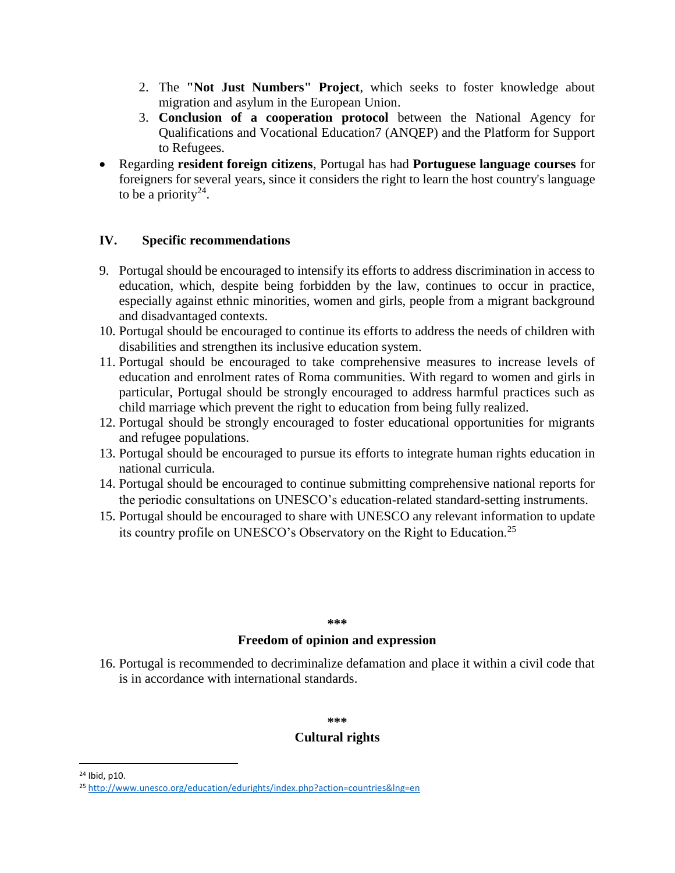- 2. The **"Not Just Numbers" Project**, which seeks to foster knowledge about migration and asylum in the European Union.
- 3. **Conclusion of a cooperation protocol** between the National Agency for Qualifications and Vocational Education7 (ANQEP) and the Platform for Support to Refugees.
- Regarding **resident foreign citizens**, Portugal has had **Portuguese language courses** for foreigners for several years, since it considers the right to learn the host country's language to be a priority<sup>24</sup>.

#### **IV. Specific recommendations**

- 9. Portugal should be encouraged to intensify its efforts to address discrimination in access to education, which, despite being forbidden by the law, continues to occur in practice, especially against ethnic minorities, women and girls, people from a migrant background and disadvantaged contexts.
- 10. Portugal should be encouraged to continue its efforts to address the needs of children with disabilities and strengthen its inclusive education system.
- 11. Portugal should be encouraged to take comprehensive measures to increase levels of education and enrolment rates of Roma communities. With regard to women and girls in particular, Portugal should be strongly encouraged to address harmful practices such as child marriage which prevent the right to education from being fully realized.
- 12. Portugal should be strongly encouraged to foster educational opportunities for migrants and refugee populations.
- 13. Portugal should be encouraged to pursue its efforts to integrate human rights education in national curricula.
- 14. Portugal should be encouraged to continue submitting comprehensive national reports for the periodic consultations on UNESCO's education-related standard-setting instruments.
- 15. Portugal should be encouraged to share with UNESCO any relevant information to update its country profile on UNESCO's Observatory on the Right to Education.<sup>25</sup>

#### **\*\*\***

#### **Freedom of opinion and expression**

16. Portugal is recommended to decriminalize defamation and place it within a civil code that is in accordance with international standards.

#### **\*\*\***

## **Cultural rights**

 $\overline{a}$ 

<sup>24</sup> Ibid, p10.

<sup>25</sup> <http://www.unesco.org/education/edurights/index.php?action=countries&lng=en>